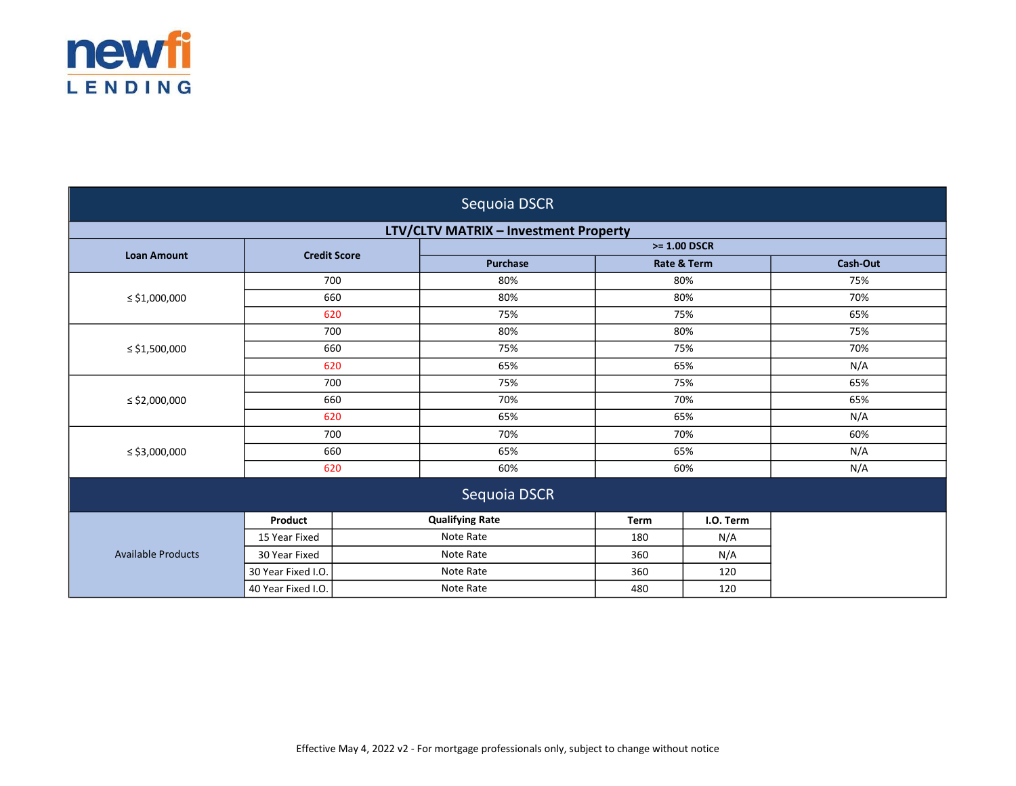

| Sequoia DSCR                                 |                     |  |                        |             |                        |          |
|----------------------------------------------|---------------------|--|------------------------|-------------|------------------------|----------|
| <b>LTV/CLTV MATRIX - Investment Property</b> |                     |  |                        |             |                        |          |
| <b>Loan Amount</b>                           | <b>Credit Score</b> |  | $>= 1.00$ DSCR         |             |                        |          |
|                                              |                     |  | <b>Purchase</b>        |             | <b>Rate &amp; Term</b> | Cash-Out |
|                                              | 700                 |  | 80%                    |             | 80%                    | 75%      |
| $\le$ \$1,000,000                            | 660                 |  | 80%                    |             | 80%                    | 70%      |
|                                              | 620                 |  | 75%                    |             | 75%                    | 65%      |
|                                              | 700                 |  | 80%                    |             | 80%                    | 75%      |
| $\le$ \$1,500,000                            | 660                 |  | 75%                    |             | 75%                    | 70%      |
|                                              | 620                 |  | 65%                    |             | 65%                    | N/A      |
|                                              | 700                 |  | 75%                    |             | 75%                    | 65%      |
| ≤ \$2,000,000                                | 660                 |  | 70%                    |             | 70%                    | 65%      |
|                                              | 620                 |  | 65%                    |             | 65%                    | N/A      |
|                                              | 700                 |  | 70%                    |             | 70%                    | 60%      |
| $\le$ \$3,000,000                            | 660                 |  | 65%                    |             | 65%                    | N/A      |
|                                              | 620                 |  | 60%                    |             | 60%                    | N/A      |
| Sequoia DSCR                                 |                     |  |                        |             |                        |          |
|                                              | Product             |  | <b>Qualifying Rate</b> | <b>Term</b> | I.O. Term              |          |
|                                              | 15 Year Fixed       |  | Note Rate              | 180         | N/A                    |          |
| <b>Available Products</b>                    | 30 Year Fixed       |  | Note Rate              | 360         | N/A                    |          |
|                                              | 30 Year Fixed I.O.  |  | Note Rate              | 360         | 120                    |          |
|                                              | 40 Year Fixed I.O.  |  | Note Rate              | 480         | 120                    |          |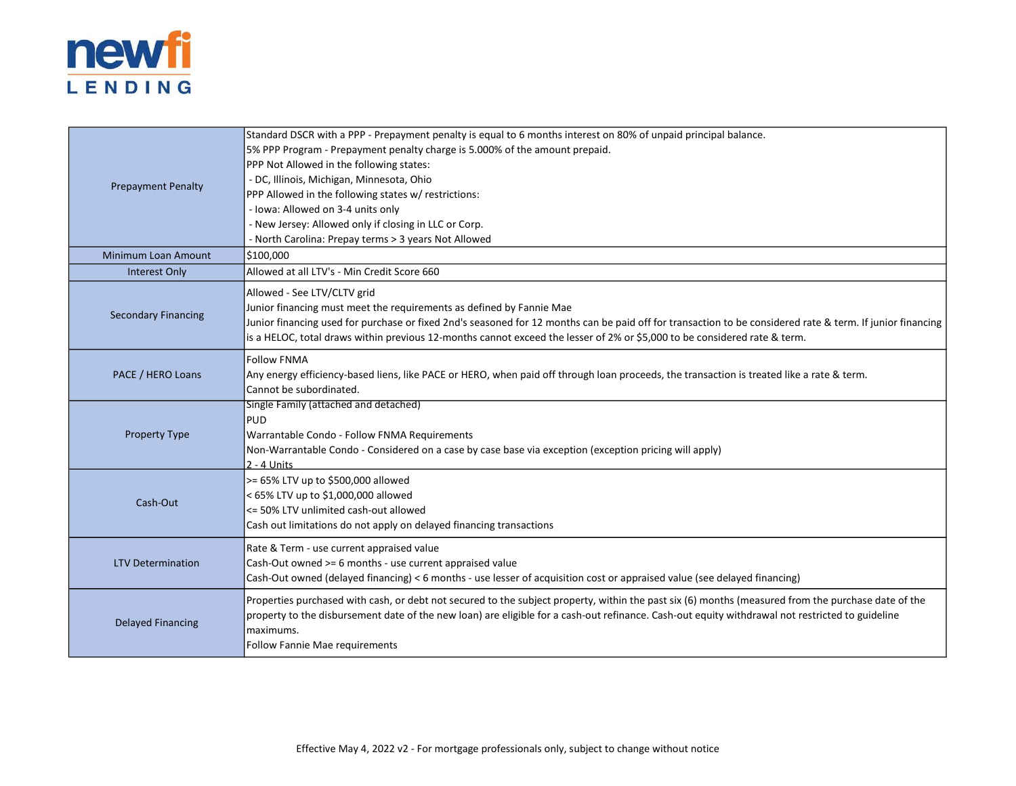

| <b>Prepayment Penalty</b>  | Standard DSCR with a PPP - Prepayment penalty is equal to 6 months interest on 80% of unpaid principal balance.                                            |
|----------------------------|------------------------------------------------------------------------------------------------------------------------------------------------------------|
|                            | 5% PPP Program - Prepayment penalty charge is 5.000% of the amount prepaid.                                                                                |
|                            | PPP Not Allowed in the following states:                                                                                                                   |
|                            | - DC, Illinois, Michigan, Minnesota, Ohio                                                                                                                  |
|                            | PPP Allowed in the following states w/ restrictions:                                                                                                       |
|                            | - Iowa: Allowed on 3-4 units only                                                                                                                          |
|                            | - New Jersey: Allowed only if closing in LLC or Corp.                                                                                                      |
|                            | - North Carolina: Prepay terms > 3 years Not Allowed                                                                                                       |
| Minimum Loan Amount        | \$100,000                                                                                                                                                  |
| Interest Only              | Allowed at all LTV's - Min Credit Score 660                                                                                                                |
|                            | Allowed - See LTV/CLTV grid                                                                                                                                |
|                            | Junior financing must meet the requirements as defined by Fannie Mae                                                                                       |
| <b>Secondary Financing</b> | Junior financing used for purchase or fixed 2nd's seasoned for 12 months can be paid off for transaction to be considered rate & term. If junior financing |
|                            | is a HELOC, total draws within previous 12-months cannot exceed the lesser of 2% or \$5,000 to be considered rate & term.                                  |
|                            | <b>Follow FNMA</b>                                                                                                                                         |
| PACE / HERO Loans          | Any energy efficiency-based liens, like PACE or HERO, when paid off through loan proceeds, the transaction is treated like a rate & term.                  |
|                            | Cannot be subordinated.                                                                                                                                    |
|                            | Single Family (attached and detached)                                                                                                                      |
|                            | PUD                                                                                                                                                        |
| <b>Property Type</b>       | Warrantable Condo - Follow FNMA Requirements                                                                                                               |
|                            | Non-Warrantable Condo - Considered on a case by case base via exception (exception pricing will apply)                                                     |
|                            | $2 - 4$ Units                                                                                                                                              |
|                            | >= 65% LTV up to \$500,000 allowed                                                                                                                         |
| Cash-Out                   | < 65% LTV up to \$1,000,000 allowed                                                                                                                        |
|                            | <= 50% LTV unlimited cash-out allowed                                                                                                                      |
|                            | Cash out limitations do not apply on delayed financing transactions                                                                                        |
|                            | Rate & Term - use current appraised value                                                                                                                  |
| <b>LTV Determination</b>   | Cash-Out owned >= 6 months - use current appraised value                                                                                                   |
|                            | Cash-Out owned (delayed financing) < 6 months - use lesser of acquisition cost or appraised value (see delayed financing)                                  |
|                            | Properties purchased with cash, or debt not secured to the subject property, within the past six (6) months (measured from the purchase date of the        |
| <b>Delayed Financing</b>   | property to the disbursement date of the new loan) are eligible for a cash-out refinance. Cash-out equity withdrawal not restricted to guideline           |
|                            | lmaximums.                                                                                                                                                 |
|                            | Follow Fannie Mae requirements                                                                                                                             |
|                            |                                                                                                                                                            |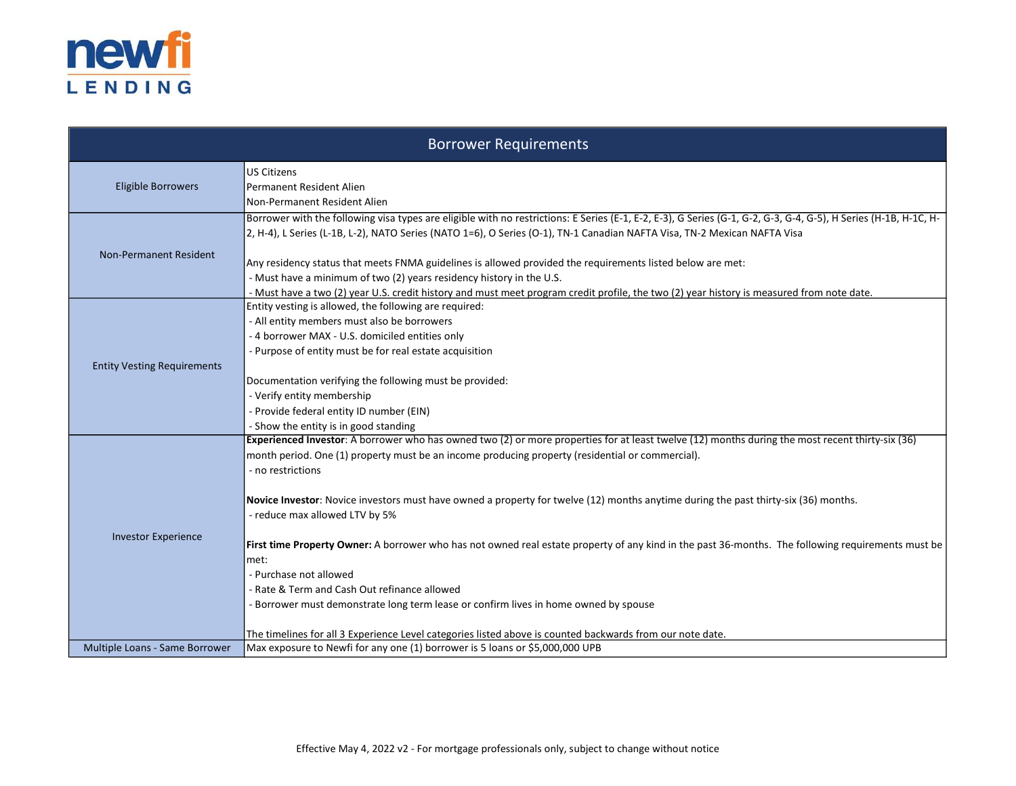

|                                    | <b>Borrower Requirements</b>                                                                                                                                                                                                                                                                                                                                                                                                                                                                                                                                                                                                                                                                                                                                                                                                                                                                  |
|------------------------------------|-----------------------------------------------------------------------------------------------------------------------------------------------------------------------------------------------------------------------------------------------------------------------------------------------------------------------------------------------------------------------------------------------------------------------------------------------------------------------------------------------------------------------------------------------------------------------------------------------------------------------------------------------------------------------------------------------------------------------------------------------------------------------------------------------------------------------------------------------------------------------------------------------|
| <b>Eligible Borrowers</b>          | <b>US Citizens</b><br>Permanent Resident Alien<br>Non-Permanent Resident Alien                                                                                                                                                                                                                                                                                                                                                                                                                                                                                                                                                                                                                                                                                                                                                                                                                |
| <b>Non-Permanent Resident</b>      | Borrower with the following visa types are eligible with no restrictions: E Series (E-1, E-2, E-3), G Series (G-1, G-2, G-3, G-4, G-5), H Series (H-1B, H-1C, H-<br>2, H-4), L Series (L-1B, L-2), NATO Series (NATO 1=6), O Series (O-1), TN-1 Canadian NAFTA Visa, TN-2 Mexican NAFTA Visa<br>Any residency status that meets FNMA guidelines is allowed provided the requirements listed below are met:<br>- Must have a minimum of two (2) years residency history in the U.S.<br>- Must have a two (2) year U.S. credit history and must meet program credit profile, the two (2) year history is measured from note date.                                                                                                                                                                                                                                                               |
| <b>Entity Vesting Requirements</b> | Entity vesting is allowed, the following are required:<br>- All entity members must also be borrowers<br>- 4 borrower MAX - U.S. domiciled entities only<br>- Purpose of entity must be for real estate acquisition<br>Documentation verifying the following must be provided:<br>- Verify entity membership<br>- Provide federal entity ID number (EIN)<br>- Show the entity is in good standing                                                                                                                                                                                                                                                                                                                                                                                                                                                                                             |
| <b>Investor Experience</b>         | Experienced Investor: A borrower who has owned two (2) or more properties for at least twelve (12) months during the most recent thirty-six (36)<br>month period. One (1) property must be an income producing property (residential or commercial).<br>- no restrictions<br>Novice Investor: Novice investors must have owned a property for twelve (12) months anytime during the past thirty-six (36) months.<br>- reduce max allowed LTV by 5%<br>First time Property Owner: A borrower who has not owned real estate property of any kind in the past 36-months. The following requirements must be<br>met:<br>- Purchase not allowed<br>- Rate & Term and Cash Out refinance allowed<br>Borrower must demonstrate long term lease or confirm lives in home owned by spouse<br>The timelines for all 3 Experience Level categories listed above is counted backwards from our note date. |
| Multiple Loans - Same Borrower     | Max exposure to Newfi for any one (1) borrower is 5 loans or \$5,000,000 UPB                                                                                                                                                                                                                                                                                                                                                                                                                                                                                                                                                                                                                                                                                                                                                                                                                  |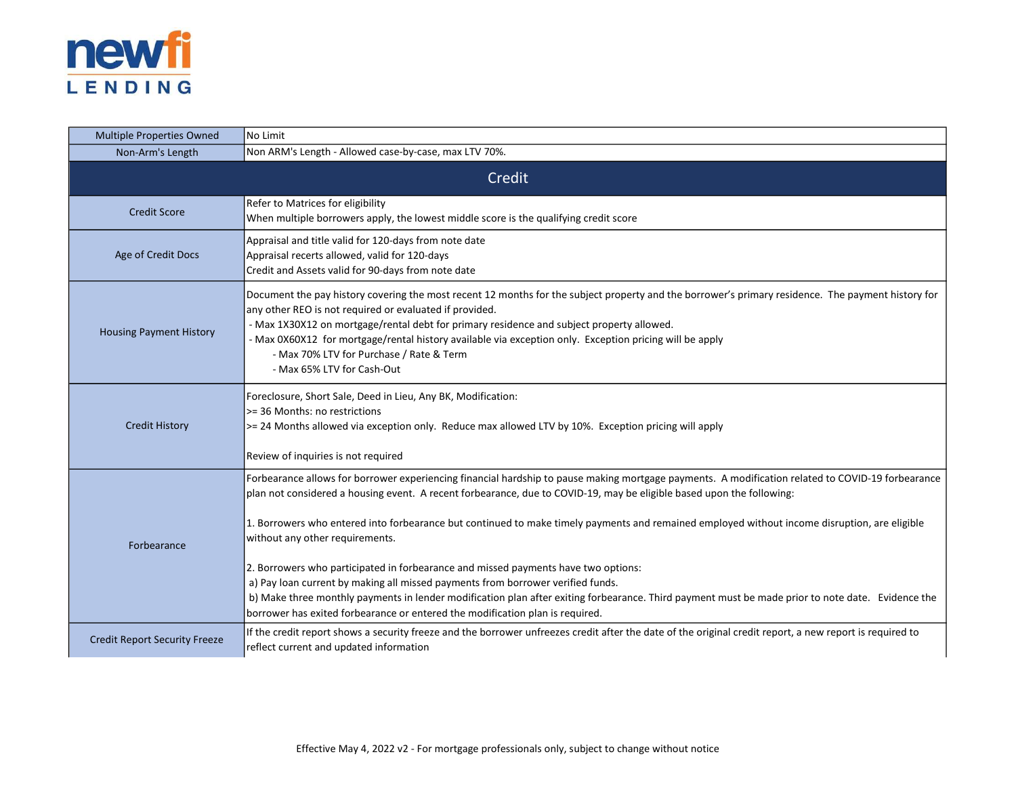

| <b>Multiple Properties Owned</b>     | No Limit                                                                                                                                                                                                                                                                                                                                                                                                                                                                                                                                                                                                                                                                                                                                                                                                                                                                      |  |  |
|--------------------------------------|-------------------------------------------------------------------------------------------------------------------------------------------------------------------------------------------------------------------------------------------------------------------------------------------------------------------------------------------------------------------------------------------------------------------------------------------------------------------------------------------------------------------------------------------------------------------------------------------------------------------------------------------------------------------------------------------------------------------------------------------------------------------------------------------------------------------------------------------------------------------------------|--|--|
| Non-Arm's Length                     | Non ARM's Length - Allowed case-by-case, max LTV 70%.                                                                                                                                                                                                                                                                                                                                                                                                                                                                                                                                                                                                                                                                                                                                                                                                                         |  |  |
|                                      | Credit                                                                                                                                                                                                                                                                                                                                                                                                                                                                                                                                                                                                                                                                                                                                                                                                                                                                        |  |  |
| <b>Credit Score</b>                  | Refer to Matrices for eligibility<br>When multiple borrowers apply, the lowest middle score is the qualifying credit score                                                                                                                                                                                                                                                                                                                                                                                                                                                                                                                                                                                                                                                                                                                                                    |  |  |
| Age of Credit Docs                   | Appraisal and title valid for 120-days from note date<br>Appraisal recerts allowed, valid for 120-days<br>Credit and Assets valid for 90-days from note date                                                                                                                                                                                                                                                                                                                                                                                                                                                                                                                                                                                                                                                                                                                  |  |  |
| <b>Housing Payment History</b>       | Document the pay history covering the most recent 12 months for the subject property and the borrower's primary residence. The payment history for<br>any other REO is not required or evaluated if provided.<br>- Max 1X30X12 on mortgage/rental debt for primary residence and subject property allowed.<br>- Max 0X60X12 for mortgage/rental history available via exception only. Exception pricing will be apply<br>- Max 70% LTV for Purchase / Rate & Term<br>- Max 65% LTV for Cash-Out                                                                                                                                                                                                                                                                                                                                                                               |  |  |
| <b>Credit History</b>                | Foreclosure, Short Sale, Deed in Lieu, Any BK, Modification:<br>>= 36 Months: no restrictions<br>>= 24 Months allowed via exception only. Reduce max allowed LTV by 10%. Exception pricing will apply<br>Review of inquiries is not required                                                                                                                                                                                                                                                                                                                                                                                                                                                                                                                                                                                                                                  |  |  |
| Forbearance                          | Forbearance allows for borrower experiencing financial hardship to pause making mortgage payments. A modification related to COVID-19 forbearance<br>plan not considered a housing event. A recent forbearance, due to COVID-19, may be eligible based upon the following:<br>1. Borrowers who entered into forbearance but continued to make timely payments and remained employed without income disruption, are eligible<br>without any other requirements.<br>2. Borrowers who participated in forbearance and missed payments have two options:<br>a) Pay loan current by making all missed payments from borrower verified funds.<br>b) Make three monthly payments in lender modification plan after exiting forbearance. Third payment must be made prior to note date. Evidence the<br>borrower has exited forbearance or entered the modification plan is required. |  |  |
| <b>Credit Report Security Freeze</b> | If the credit report shows a security freeze and the borrower unfreezes credit after the date of the original credit report, a new report is required to<br>reflect current and updated information                                                                                                                                                                                                                                                                                                                                                                                                                                                                                                                                                                                                                                                                           |  |  |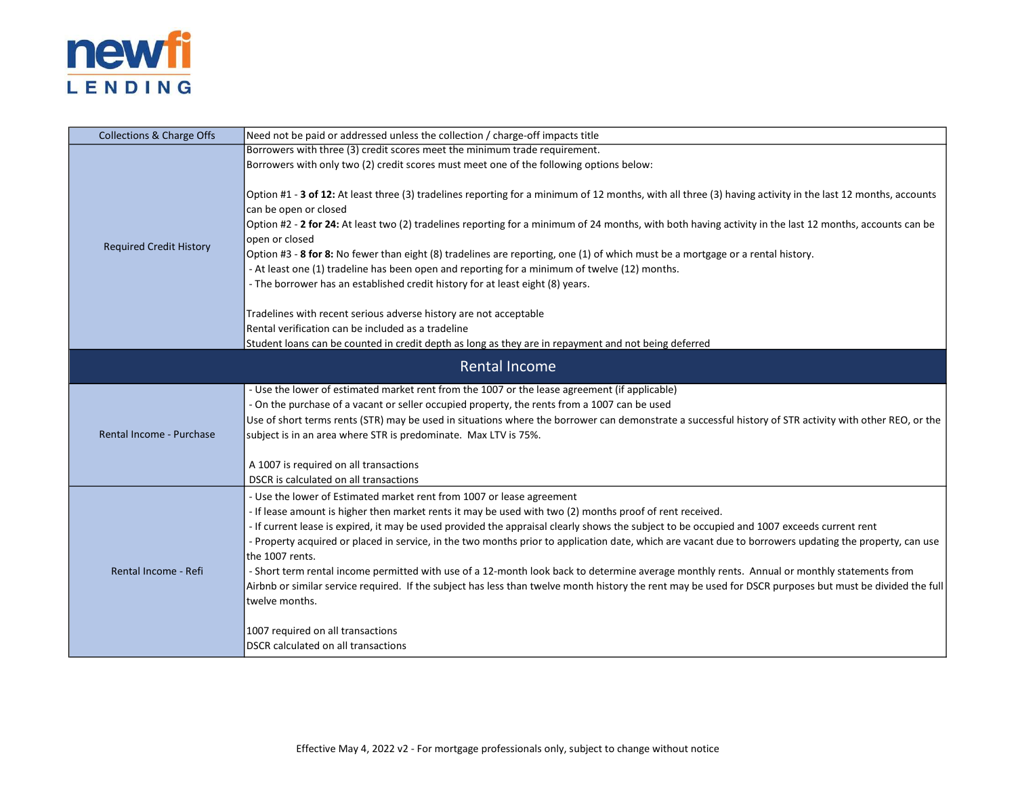

| <b>Collections &amp; Charge Offs</b> | Need not be paid or addressed unless the collection / charge-off impacts title                                                                                                                                                                                                                                                                                                                                                                                                                                                                                                                                                                                                                                                                                                                                                                                                                                                  |  |  |
|--------------------------------------|---------------------------------------------------------------------------------------------------------------------------------------------------------------------------------------------------------------------------------------------------------------------------------------------------------------------------------------------------------------------------------------------------------------------------------------------------------------------------------------------------------------------------------------------------------------------------------------------------------------------------------------------------------------------------------------------------------------------------------------------------------------------------------------------------------------------------------------------------------------------------------------------------------------------------------|--|--|
|                                      | Borrowers with three (3) credit scores meet the minimum trade requirement.                                                                                                                                                                                                                                                                                                                                                                                                                                                                                                                                                                                                                                                                                                                                                                                                                                                      |  |  |
|                                      | Borrowers with only two (2) credit scores must meet one of the following options below:                                                                                                                                                                                                                                                                                                                                                                                                                                                                                                                                                                                                                                                                                                                                                                                                                                         |  |  |
| <b>Required Credit History</b>       | Option #1 - 3 of 12: At least three (3) tradelines reporting for a minimum of 12 months, with all three (3) having activity in the last 12 months, accounts<br>can be open or closed<br>Option #2 - 2 for 24: At least two (2) tradelines reporting for a minimum of 24 months, with both having activity in the last 12 months, accounts can be<br>open or closed<br>Option #3 - 8 for 8: No fewer than eight (8) tradelines are reporting, one (1) of which must be a mortgage or a rental history.<br>- At least one (1) tradeline has been open and reporting for a minimum of twelve (12) months.<br>- The borrower has an established credit history for at least eight (8) years.<br>Tradelines with recent serious adverse history are not acceptable<br>Rental verification can be included as a tradeline                                                                                                             |  |  |
|                                      | Student loans can be counted in credit depth as long as they are in repayment and not being deferred                                                                                                                                                                                                                                                                                                                                                                                                                                                                                                                                                                                                                                                                                                                                                                                                                            |  |  |
| <b>Rental Income</b>                 |                                                                                                                                                                                                                                                                                                                                                                                                                                                                                                                                                                                                                                                                                                                                                                                                                                                                                                                                 |  |  |
| <b>Rental Income - Purchase</b>      | - Use the lower of estimated market rent from the 1007 or the lease agreement (if applicable)<br>- On the purchase of a vacant or seller occupied property, the rents from a 1007 can be used<br>Use of short terms rents (STR) may be used in situations where the borrower can demonstrate a successful history of STR activity with other REO, or the<br>subject is in an area where STR is predominate. Max LTV is 75%.<br>A 1007 is required on all transactions<br>DSCR is calculated on all transactions                                                                                                                                                                                                                                                                                                                                                                                                                 |  |  |
| Rental Income - Refi                 | - Use the lower of Estimated market rent from 1007 or lease agreement<br>- If lease amount is higher then market rents it may be used with two (2) months proof of rent received.<br>- If current lease is expired, it may be used provided the appraisal clearly shows the subject to be occupied and 1007 exceeds current rent<br>- Property acquired or placed in service, in the two months prior to application date, which are vacant due to borrowers updating the property, can use<br>the 1007 rents.<br>- Short term rental income permitted with use of a 12-month look back to determine average monthly rents. Annual or monthly statements from<br>Airbnb or similar service required. If the subject has less than twelve month history the rent may be used for DSCR purposes but must be divided the full<br>twelve months.<br>1007 required on all transactions<br><b>DSCR</b> calculated on all transactions |  |  |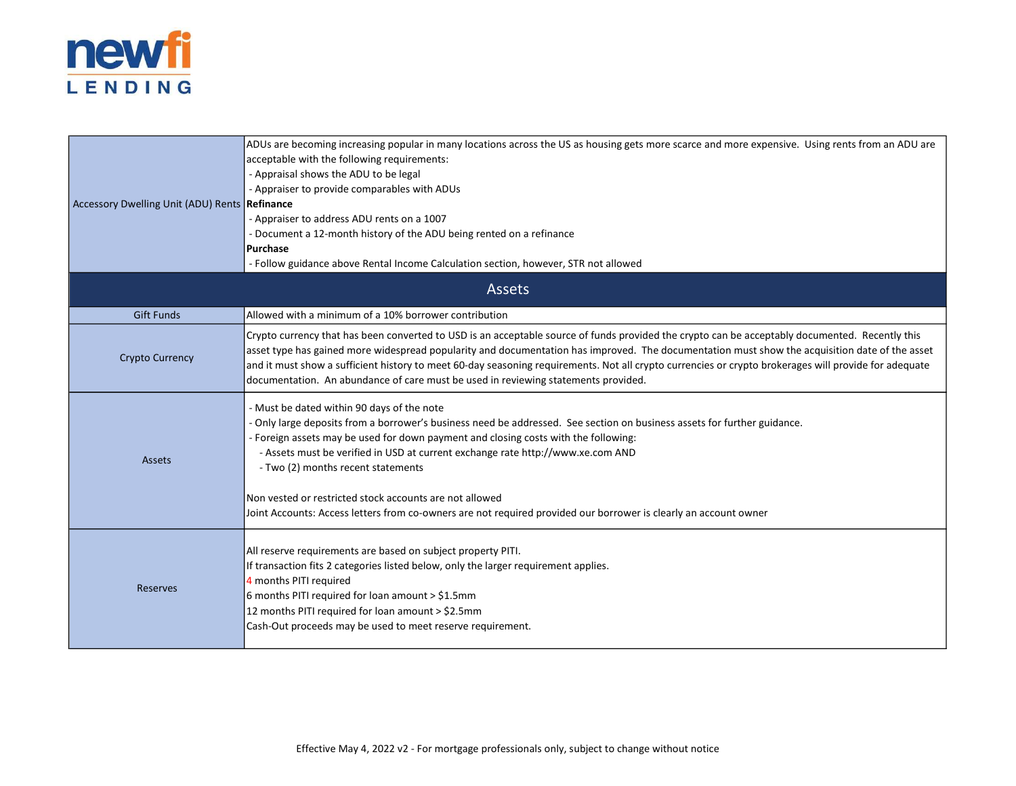

| Accessory Dwelling Unit (ADU) Rents <b>Refinance</b> | ADUs are becoming increasing popular in many locations across the US as housing gets more scarce and more expensive. Using rents from an ADU are<br>acceptable with the following requirements:<br>- Appraisal shows the ADU to be legal<br>- Appraiser to provide comparables with ADUs<br>- Appraiser to address ADU rents on a 1007<br>- Document a 12-month history of the ADU being rented on a refinance<br>Purchase                                                                                                                                            |  |  |  |
|------------------------------------------------------|-----------------------------------------------------------------------------------------------------------------------------------------------------------------------------------------------------------------------------------------------------------------------------------------------------------------------------------------------------------------------------------------------------------------------------------------------------------------------------------------------------------------------------------------------------------------------|--|--|--|
|                                                      | - Follow guidance above Rental Income Calculation section, however, STR not allowed                                                                                                                                                                                                                                                                                                                                                                                                                                                                                   |  |  |  |
| <b>Assets</b>                                        |                                                                                                                                                                                                                                                                                                                                                                                                                                                                                                                                                                       |  |  |  |
| <b>Gift Funds</b>                                    | Allowed with a minimum of a 10% borrower contribution                                                                                                                                                                                                                                                                                                                                                                                                                                                                                                                 |  |  |  |
| <b>Crypto Currency</b>                               | Crypto currency that has been converted to USD is an acceptable source of funds provided the crypto can be acceptably documented. Recently this<br>asset type has gained more widespread popularity and documentation has improved. The documentation must show the acquisition date of the asset<br>and it must show a sufficient history to meet 60-day seasoning requirements. Not all crypto currencies or crypto brokerages will provide for adequate<br>documentation. An abundance of care must be used in reviewing statements provided.                      |  |  |  |
| <b>Assets</b>                                        | - Must be dated within 90 days of the note<br>- Only large deposits from a borrower's business need be addressed. See section on business assets for further guidance.<br>- Foreign assets may be used for down payment and closing costs with the following:<br>- Assets must be verified in USD at current exchange rate http://www.xe.com AND<br>- Two (2) months recent statements<br>Non vested or restricted stock accounts are not allowed<br>Joint Accounts: Access letters from co-owners are not required provided our borrower is clearly an account owner |  |  |  |
| Reserves                                             | All reserve requirements are based on subject property PITI.<br>If transaction fits 2 categories listed below, only the larger requirement applies.<br>4 months PITI required<br>6 months PITI required for loan amount > $$1.5mm$<br>12 months PITI required for loan amount > \$2.5mm<br>Cash-Out proceeds may be used to meet reserve requirement.                                                                                                                                                                                                                 |  |  |  |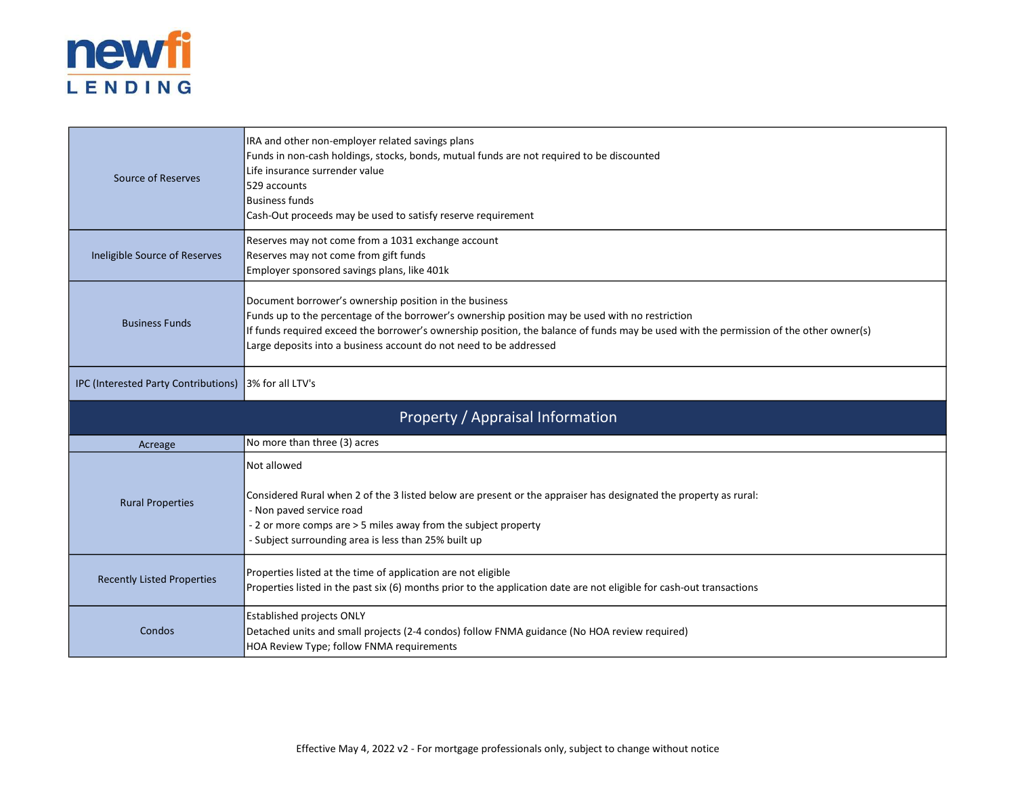

| Source of Reserves                                    | IRA and other non-employer related savings plans<br>Funds in non-cash holdings, stocks, bonds, mutual funds are not required to be discounted<br>Life insurance surrender value<br>529 accounts<br><b>Business funds</b><br>Cash-Out proceeds may be used to satisfy reserve requirement                                                                                  |
|-------------------------------------------------------|---------------------------------------------------------------------------------------------------------------------------------------------------------------------------------------------------------------------------------------------------------------------------------------------------------------------------------------------------------------------------|
| Ineligible Source of Reserves                         | Reserves may not come from a 1031 exchange account<br>Reserves may not come from gift funds<br>Employer sponsored savings plans, like 401k                                                                                                                                                                                                                                |
| <b>Business Funds</b>                                 | Document borrower's ownership position in the business<br>Funds up to the percentage of the borrower's ownership position may be used with no restriction<br>If funds required exceed the borrower's ownership position, the balance of funds may be used with the permission of the other owner(s)<br>Large deposits into a business account do not need to be addressed |
| IPC (Interested Party Contributions) 3% for all LTV's |                                                                                                                                                                                                                                                                                                                                                                           |
|                                                       | Property / Appraisal Information                                                                                                                                                                                                                                                                                                                                          |
|                                                       |                                                                                                                                                                                                                                                                                                                                                                           |
| Acreage                                               | No more than three (3) acres                                                                                                                                                                                                                                                                                                                                              |
| <b>Rural Properties</b>                               | Not allowed<br>Considered Rural when 2 of the 3 listed below are present or the appraiser has designated the property as rural:<br>- Non paved service road<br>- 2 or more comps are > 5 miles away from the subject property<br>- Subject surrounding area is less than 25% built up                                                                                     |
| <b>Recently Listed Properties</b>                     | Properties listed at the time of application are not eligible<br>Properties listed in the past six (6) months prior to the application date are not eligible for cash-out transactions                                                                                                                                                                                    |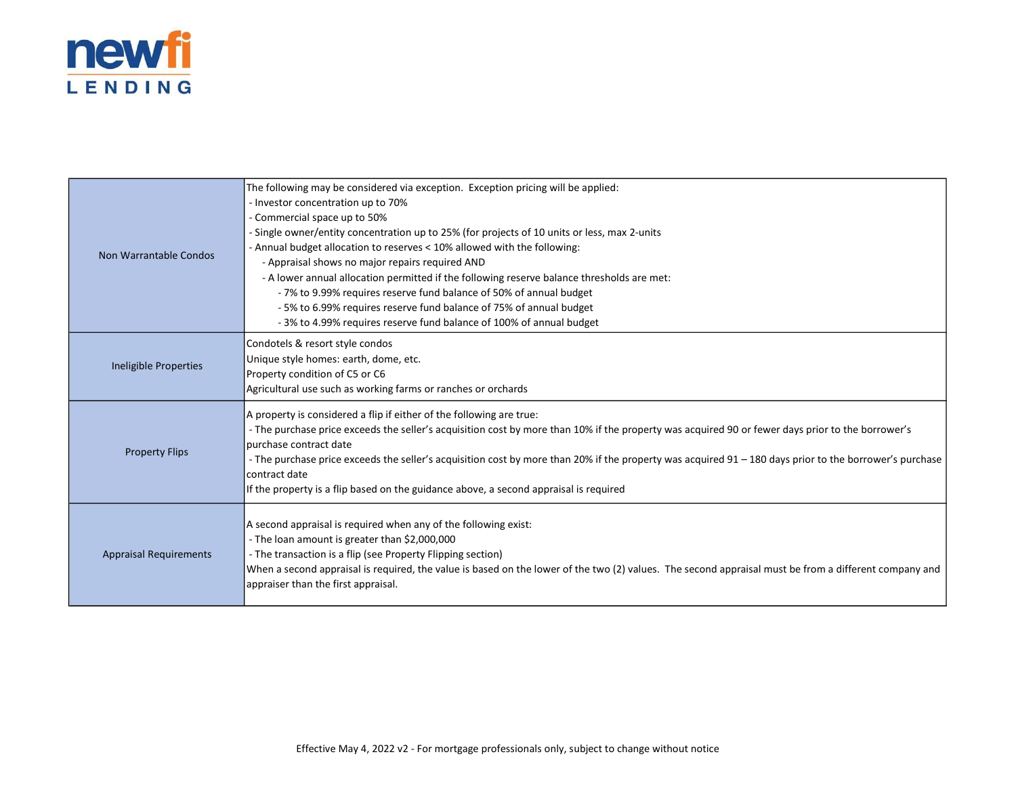

| Non Warrantable Condos        | The following may be considered via exception. Exception pricing will be applied:<br>- Investor concentration up to 70%<br>- Commercial space up to 50%<br>- Single owner/entity concentration up to 25% (for projects of 10 units or less, max 2-units<br>- Annual budget allocation to reserves < 10% allowed with the following:<br>- Appraisal shows no major repairs required AND<br>- A lower annual allocation permitted if the following reserve balance thresholds are met:<br>-7% to 9.99% requires reserve fund balance of 50% of annual budget<br>- 5% to 6.99% requires reserve fund balance of 75% of annual budget<br>- 3% to 4.99% requires reserve fund balance of 100% of annual budget |
|-------------------------------|-----------------------------------------------------------------------------------------------------------------------------------------------------------------------------------------------------------------------------------------------------------------------------------------------------------------------------------------------------------------------------------------------------------------------------------------------------------------------------------------------------------------------------------------------------------------------------------------------------------------------------------------------------------------------------------------------------------|
| Ineligible Properties         | Condotels & resort style condos<br>Unique style homes: earth, dome, etc.<br>Property condition of C5 or C6<br>Agricultural use such as working farms or ranches or orchards                                                                                                                                                                                                                                                                                                                                                                                                                                                                                                                               |
| <b>Property Flips</b>         | A property is considered a flip if either of the following are true:<br>- The purchase price exceeds the seller's acquisition cost by more than 10% if the property was acquired 90 or fewer days prior to the borrower's<br>purchase contract date<br>- The purchase price exceeds the seller's acquisition cost by more than 20% if the property was acquired 91 - 180 days prior to the borrower's purchase<br>contract date<br>If the property is a flip based on the guidance above, a second appraisal is required                                                                                                                                                                                  |
| <b>Appraisal Requirements</b> | A second appraisal is required when any of the following exist:<br>- The loan amount is greater than \$2,000,000<br>- The transaction is a flip (see Property Flipping section)<br>When a second appraisal is required, the value is based on the lower of the two (2) values. The second appraisal must be from a different company and<br>appraiser than the first appraisal.                                                                                                                                                                                                                                                                                                                           |